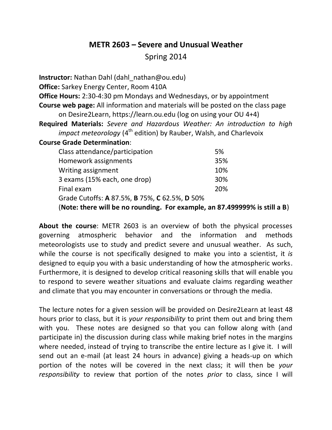# **METR 2603 – Severe and Unusual Weather**

Spring 2014

**Instructor:** Nathan Dahl (dahl\_nathan@ou.edu) **Office:** Sarkey Energy Center, Room 410A **Office Hours:** 2:30-4:30 pm Mondays and Wednesdays, or by appointment **Course web page:** All information and materials will be posted on the class page on Desire2Learn, https://learn.ou.edu (log on using your OU 4+4) **Required Materials:** *Severe and Hazardous Weather: An introduction to high impact meteorology* (4<sup>th</sup> edition) by Rauber, Walsh, and Charlevoix **Course Grade Determination**: Class attendance/participation 5% Homework assignments 35% Writing assignment 10% 3 exams (15% each, one drop) 30% Final exam 20%

Grade Cutoffs: **A** 87.5%, **B** 75%, **C** 62.5%, **D** 50%

(**Note: there will be no rounding. For example, an 87.499999% is still a B**)

**About the course**: METR 2603 is an overview of both the physical processes governing atmospheric behavior and the information and methods meteorologists use to study and predict severe and unusual weather. As such, while the course is not specifically designed to make you into a scientist, it *is* designed to equip you with a basic understanding of how the atmospheric works. Furthermore, it is designed to develop critical reasoning skills that will enable you to respond to severe weather situations and evaluate claims regarding weather and climate that you may encounter in conversations or through the media.

The lecture notes for a given session will be provided on Desire2Learn at least 48 hours prior to class, but it is *your responsibility* to print them out and bring them with you. These notes are designed so that you can follow along with (and participate in) the discussion during class while making brief notes in the margins where needed, instead of trying to transcribe the entire lecture as I give it. I will send out an e-mail (at least 24 hours in advance) giving a heads-up on which portion of the notes will be covered in the next class; it will then be *your responsibility* to review that portion of the notes *prior* to class, since I will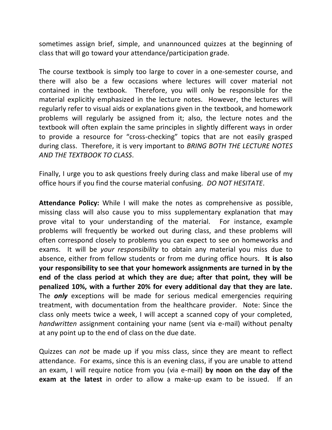sometimes assign brief, simple, and unannounced quizzes at the beginning of class that will go toward your attendance/participation grade.

The course textbook is simply too large to cover in a one-semester course, and there will also be a few occasions where lectures will cover material not contained in the textbook. Therefore, you will only be responsible for the material explicitly emphasized in the lecture notes. However, the lectures will regularly refer to visual aids or explanations given in the textbook, and homework problems will regularly be assigned from it; also, the lecture notes and the textbook will often explain the same principles in slightly different ways in order to provide a resource for "cross-checking" topics that are not easily grasped during class. Therefore, it is very important to *BRING BOTH THE LECTURE NOTES AND THE TEXTBOOK TO CLASS*.

Finally, I urge you to ask questions freely during class and make liberal use of my office hours if you find the course material confusing. *DO NOT HESITATE*.

**Attendance Policy:** While I will make the notes as comprehensive as possible, missing class will also cause you to miss supplementary explanation that may prove vital to your understanding of the material. For instance, example problems will frequently be worked out during class, and these problems will often correspond closely to problems you can expect to see on homeworks and exams. It will be *your responsibility* to obtain any material you miss due to absence, either from fellow students or from me during office hours. **It is also your responsibility to see that your homework assignments are turned in by the end of the class period at which they are due; after that point, they will be penalized 10%, with a further 20% for every additional day that they are late.** The *only* exceptions will be made for serious medical emergencies requiring treatment, with documentation from the healthcare provider. Note: Since the class only meets twice a week, I will accept a scanned copy of your completed, *handwritten* assignment containing your name (sent via e-mail) without penalty at any point up to the end of class on the due date.

Quizzes can *not* be made up if you miss class, since they are meant to reflect attendance. For exams, since this is an evening class, if you are unable to attend an exam, I will require notice from you (via e-mail) **by noon on the day of the exam at the latest** in order to allow a make-up exam to be issued. If an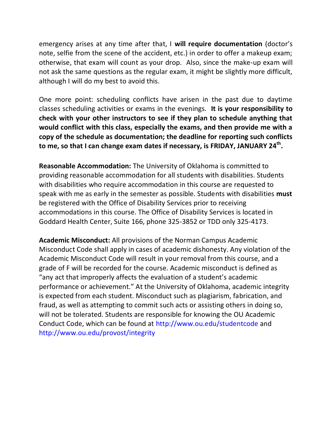emergency arises at any time after that, I **will require documentation** (doctor's note, selfie from the scene of the accident, etc.) in order to offer a makeup exam; otherwise, that exam will count as your drop. Also, since the make-up exam will not ask the same questions as the regular exam, it might be slightly more difficult, although I will do my best to avoid this.

One more point: scheduling conflicts have arisen in the past due to daytime classes scheduling activities or exams in the evenings. **It is your responsibility to check with your other instructors to see if they plan to schedule anything that would conflict with this class, especially the exams, and then provide me with a copy of the schedule as documentation; the deadline for reporting such conflicts to me, so that I can change exam dates if necessary, is FRIDAY, JANUARY 24th .**

**Reasonable Accommodation:** The University of Oklahoma is committed to providing reasonable accommodation for all students with disabilities. Students with disabilities who require accommodation in this course are requested to speak with me as early in the semester as possible. Students with disabilities **must**  be registered with the Office of Disability Services prior to receiving accommodations in this course. The Office of Disability Services is located in Goddard Health Center, Suite 166, phone 325-3852 or TDD only 325-4173.

**Academic Misconduct:** All provisions of the Norman Campus Academic Misconduct Code shall apply in cases of academic dishonesty. Any violation of the Academic Misconduct Code will result in your removal from this course, and a grade of F will be recorded for the course. Academic misconduct is defined as "any act that improperly affects the evaluation of a student's academic performance or achievement." At the University of Oklahoma, academic integrity is expected from each student. Misconduct such as plagiarism, fabrication, and fraud, as well as attempting to commit such acts or assisting others in doing so, will not be tolerated. Students are responsible for knowing the OU Academic Conduct Code, which can be found at http://www.ou.edu/studentcode and http://www.ou.edu/provost/integrity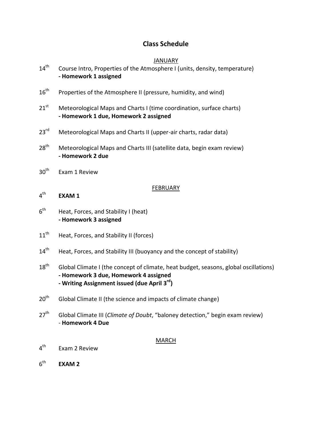# **Class Schedule**

## JANUARY

| $14^{\text{th}}$ | Course Intro, Properties of the Atmosphere I (units, density, temperature) |
|------------------|----------------------------------------------------------------------------|
|                  | - Homework 1 assigned                                                      |

- 16<sup>th</sup> Properties of the Atmosphere II (pressure, humidity, and wind)
- $21<sup>st</sup>$  Meteorological Maps and Charts I (time coordination, surface charts) **- Homework 1 due, Homework 2 assigned**
- 23<sup>rd</sup> Meteorological Maps and Charts II (upper-air charts, radar data)
- $28<sup>th</sup>$  Meteorological Maps and Charts III (satellite data, begin exam review) **- Homework 2 due**
- $30<sup>th</sup>$  Exam 1 Review

### FEBRUARY

- $4^{\text{th}}$ **EXAM 1**
- $6<sup>th</sup>$ Heat, Forces, and Stability I (heat) **- Homework 3 assigned**
- 11<sup>th</sup> Heat, Forces, and Stability II (forces)
- 14<sup>th</sup> Heat, Forces, and Stability III (buoyancy and the concept of stability)
- $18<sup>th</sup>$  Global Climate I (the concept of climate, heat budget, seasons, global oscillations) **- Homework 3 due, Homework 4 assigned - Writing Assignment issued (due April 3 rd)**
- 20<sup>th</sup> Global Climate II (the science and impacts of climate change)
- 27<sup>th</sup> Global Climate III (*Climate of Doubt*, "baloney detection," begin exam review) - **Homework 4 Due**

#### MARCH

- $4^{\text{th}}$ Exam 2 Review
- $6<sup>th</sup>$ **EXAM 2**